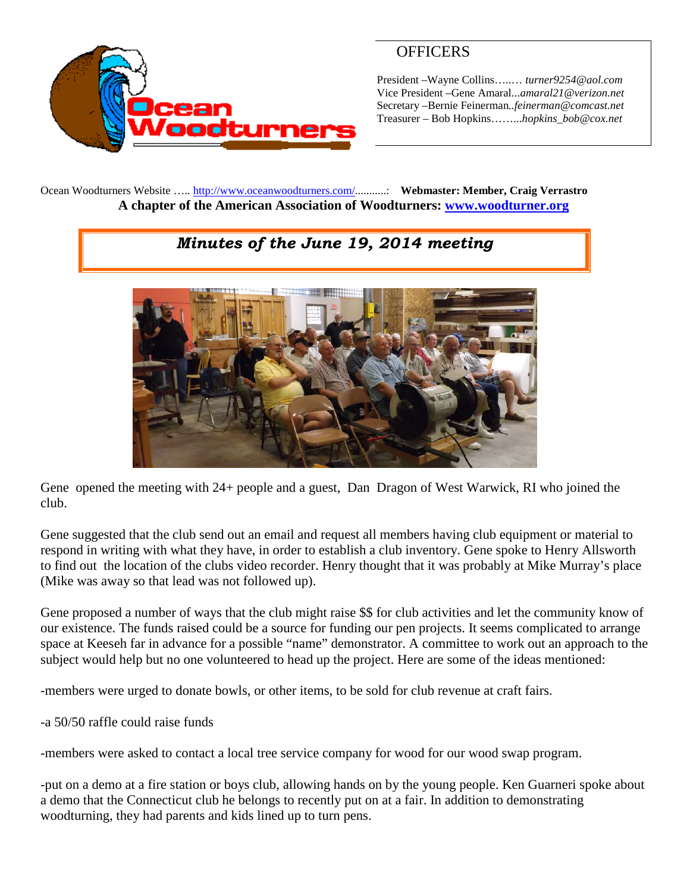

## **OFFICERS**

President –Wayne Collins…..… *turner9254@aol.com* Vice President –Gene Amaral...*amaral21@verizon.net* Secretary –Bernie Feinerman*..feinerman@comcast.net* Treasurer – Bob Hopkins……...*hopkins\_bob@cox.net*

Ocean Woodturners Website ….. <http://www.oceanwoodturners.com/>...........: **Webmaster: Member, Craig Verrastro A chapter of the American Association of Woodturners: [www.woodturner.org](http://www.woodturner.org/)**

## *Minutes of the June 19, 2014 meeting*



Gene opened the meeting with 24+ people and a guest, Dan Dragon of West Warwick, RI who joined the club.

Gene suggested that the club send out an email and request all members having club equipment or material to respond in writing with what they have, in order to establish a club inventory. Gene spoke to Henry Allsworth to find out the location of the clubs video recorder. Henry thought that it was probably at Mike Murray's place (Mike was away so that lead was not followed up).

Gene proposed a number of ways that the club might raise \$\$ for club activities and let the community know of our existence. The funds raised could be a source for funding our pen projects. It seems complicated to arrange space at Keeseh far in advance for a possible "name" demonstrator. A committee to work out an approach to the subject would help but no one volunteered to head up the project. Here are some of the ideas mentioned:

-members were urged to donate bowls, or other items, to be sold for club revenue at craft fairs.

-a 50/50 raffle could raise funds

-members were asked to contact a local tree service company for wood for our wood swap program.

-put on a demo at a fire station or boys club, allowing hands on by the young people. Ken Guarneri spoke about a demo that the Connecticut club he belongs to recently put on at a fair. In addition to demonstrating woodturning, they had parents and kids lined up to turn pens.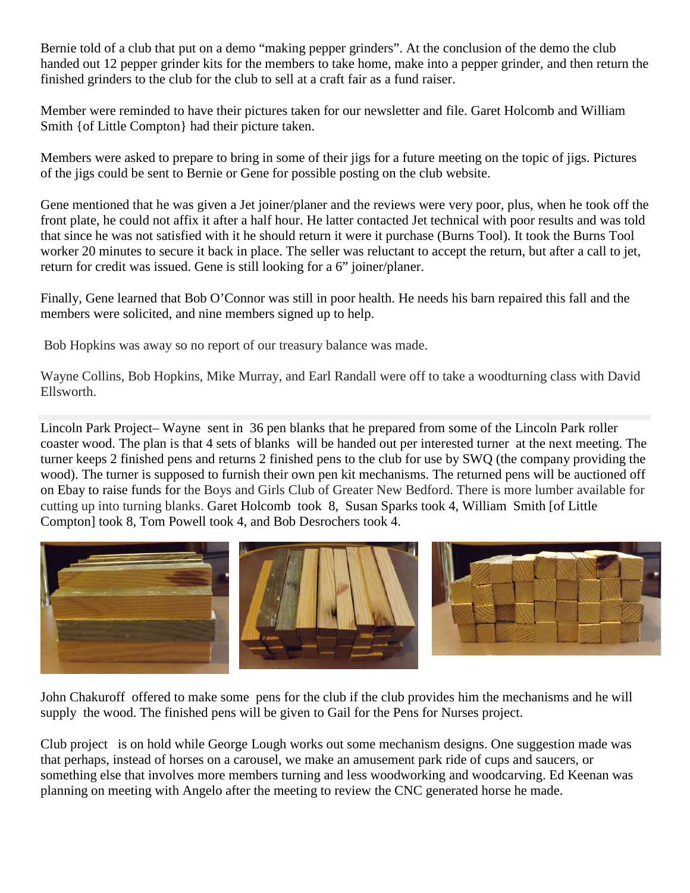Bernie told of a club that put on a demo "making pepper grinders". At the conclusion of the demo the club handed out 12 pepper grinder kits for the members to take home, make into a pepper grinder, and then return the finished grinders to the club for the club to sell at a craft fair as a fund raiser.

Member were reminded to have their pictures taken for our newsletter and file. Garet Holcomb and William Smith {of Little Compton} had their picture taken.

Members were asked to prepare to bring in some of their jigs for a future meeting on the topic of jigs. Pictures of the jigs could be sent to Bernie or Gene for possible posting on the club website.

Gene mentioned that he was given a Jet joiner/planer and the reviews were very poor, plus, when he took off the front plate, he could not affix it after a half hour. He latter contacted Jet technical with poor results and was told that since he was not satisfied with it he should return it were it purchase (Burns Tool). It took the Burns Tool worker 20 minutes to secure it back in place. The seller was reluctant to accept the return, but after a call to jet, return for credit was issued. Gene is still looking for a 6" joiner/planer.

Finally, Gene learned that Bob O'Connor was still in poor health. He needs his barn repaired this fall and the members were solicited, and nine members signed up to help.

Bob Hopkins was away so no report of our treasury balance was made.

Wayne Collins, Bob Hopkins, Mike Murray, and Earl Randall were off to take a woodturning class with David Ellsworth.

Lincoln Park Project– Wayne sent in 36 pen blanks that he prepared from some of the Lincoln Park roller coaster wood. The plan is that 4 sets of blanks will be handed out per interested turner at the next meeting. The turner keeps 2 finished pens and returns 2 finished pens to the club for use by SWQ (the company providing the wood). The turner is supposed to furnish their own pen kit mechanisms. The returned pens will be auctioned off on Ebay to raise funds for the Boys and Girls Club of Greater New Bedford. There is more lumber available for cutting up into turning blanks. Garet Holcomb took 8, Susan Sparks took 4, William Smith [of Little Compton] took 8, Tom Powell took 4, and Bob Desrochers took 4.



John Chakuroff offered to make some pens for the club if the club provides him the mechanisms and he will supply the wood. The finished pens will be given to Gail for the Pens for Nurses project.

Club project is on hold while George Lough works out some mechanism designs. One suggestion made was that perhaps, instead of horses on a carousel, we make an amusement park ride of cups and saucers, or something else that involves more members turning and less woodworking and woodcarving. Ed Keenan was planning on meeting with Angelo after the meeting to review the CNC generated horse he made.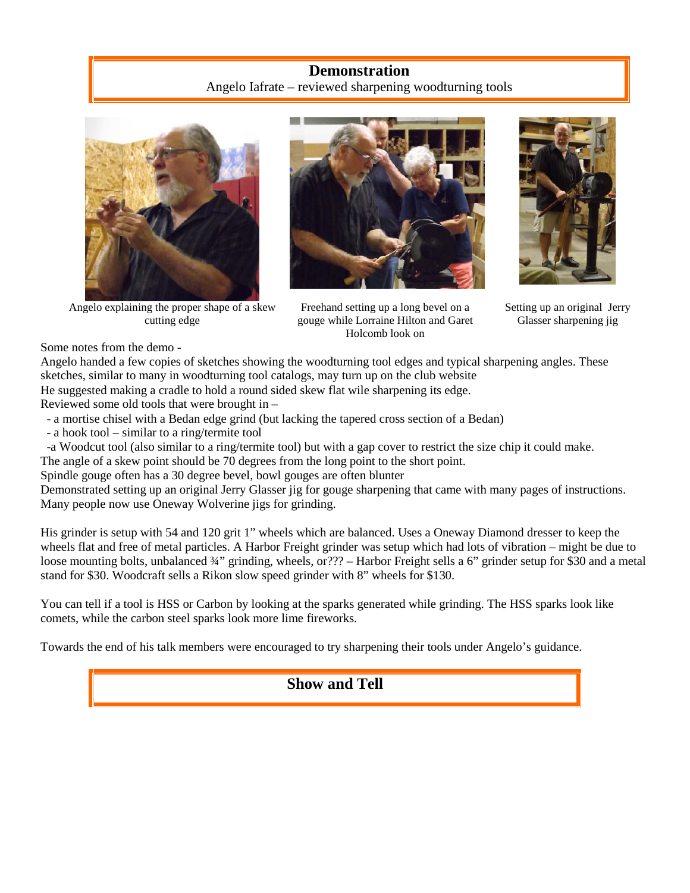## **Demonstration** Angelo Iafrate – reviewed sharpening woodturning tools



Angelo explaining the proper shape of a skew cutting edge







Setting up an original Jerry Glasser sharpening jig

Some notes from the demo -

Angelo handed a few copies of sketches showing the woodturning tool edges and typical sharpening angles. These sketches, similar to many in woodturning tool catalogs, may turn up on the club website He suggested making a cradle to hold a round sided skew flat wile sharpening its edge.

Reviewed some old tools that were brought in –

- a mortise chisel with a Bedan edge grind (but lacking the tapered cross section of a Bedan)
- a hook tool similar to a ring/termite tool

-a Woodcut tool (also similar to a ring/termite tool) but with a gap cover to restrict the size chip it could make.

The angle of a skew point should be 70 degrees from the long point to the short point.

Spindle gouge often has a 30 degree bevel, bowl gouges are often blunter

Demonstrated setting up an original Jerry Glasser jig for gouge sharpening that came with many pages of instructions. Many people now use Oneway Wolverine jigs for grinding.

His grinder is setup with 54 and 120 grit 1" wheels which are balanced. Uses a Oneway Diamond dresser to keep the wheels flat and free of metal particles. A Harbor Freight grinder was setup which had lots of vibration – might be due to loose mounting bolts, unbalanced 34" grinding, wheels, or??? – Harbor Freight sells a 6" grinder setup for \$30 and a metal stand for \$30. Woodcraft sells a Rikon slow speed grinder with 8" wheels for \$130.

You can tell if a tool is HSS or Carbon by looking at the sparks generated while grinding. The HSS sparks look like comets, while the carbon steel sparks look more lime fireworks.

Towards the end of his talk members were encouraged to try sharpening their tools under Angelo's guidance.

**Show and Tell**